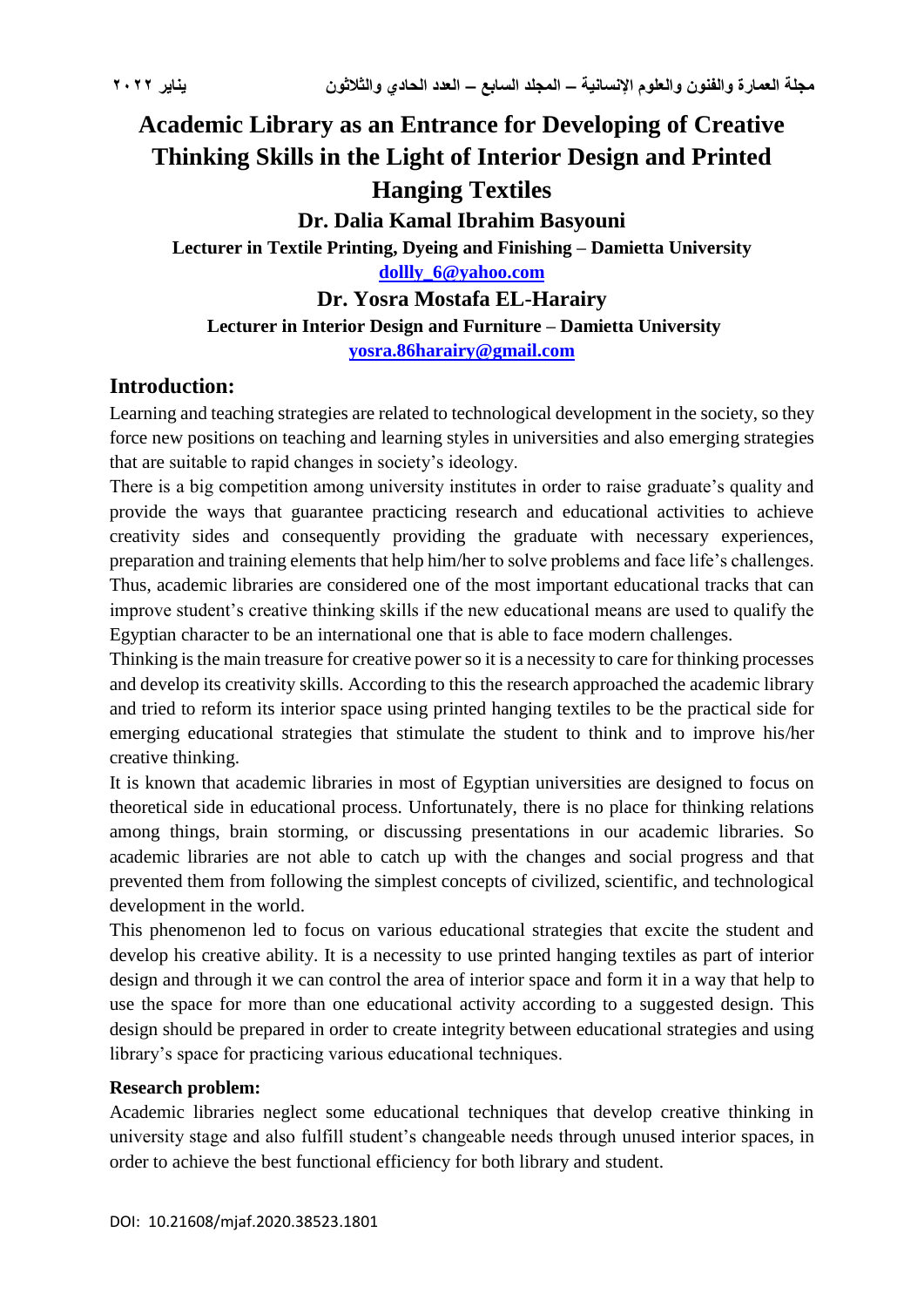# **Academic Library as an Entrance for Developing of Creative Thinking Skills in the Light of Interior Design and Printed Hanging Textiles**

**Dr. Dalia Kamal Ibrahim Basyouni**

**Lecturer in Textile Printing, Dyeing and Finishing – Damietta University [dollly\\_6@yahoo.com](mailto:dollly_6@yahoo.com)**

**Dr. Yosra Mostafa EL-Harairy**

#### **Lecturer in Interior Design and Furniture – Damietta University**

**[yosra.86harairy@gmail.com](mailto:yosra.86harairy@gmail.com)**

### **Introduction:**

Learning and teaching strategies are related to technological development in the society, so they force new positions on teaching and learning styles in universities and also emerging strategies that are suitable to rapid changes in society's ideology.

There is a big competition among university institutes in order to raise graduate's quality and provide the ways that guarantee practicing research and educational activities to achieve creativity sides and consequently providing the graduate with necessary experiences, preparation and training elements that help him/her to solve problems and face life's challenges. Thus, academic libraries are considered one of the most important educational tracks that can improve student's creative thinking skills if the new educational means are used to qualify the Egyptian character to be an international one that is able to face modern challenges.

Thinking is the main treasure for creative power so it is a necessity to care for thinking processes and develop its creativity skills. According to this the research approached the academic library and tried to reform its interior space using printed hanging textiles to be the practical side for emerging educational strategies that stimulate the student to think and to improve his/her creative thinking.

It is known that academic libraries in most of Egyptian universities are designed to focus on theoretical side in educational process. Unfortunately, there is no place for thinking relations among things, brain storming, or discussing presentations in our academic libraries. So academic libraries are not able to catch up with the changes and social progress and that prevented them from following the simplest concepts of civilized, scientific, and technological development in the world.

This phenomenon led to focus on various educational strategies that excite the student and develop his creative ability. It is a necessity to use printed hanging textiles as part of interior design and through it we can control the area of interior space and form it in a way that help to use the space for more than one educational activity according to a suggested design. This design should be prepared in order to create integrity between educational strategies and using library's space for practicing various educational techniques.

#### **Research problem:**

Academic libraries neglect some educational techniques that develop creative thinking in university stage and also fulfill student's changeable needs through unused interior spaces, in order to achieve the best functional efficiency for both library and student.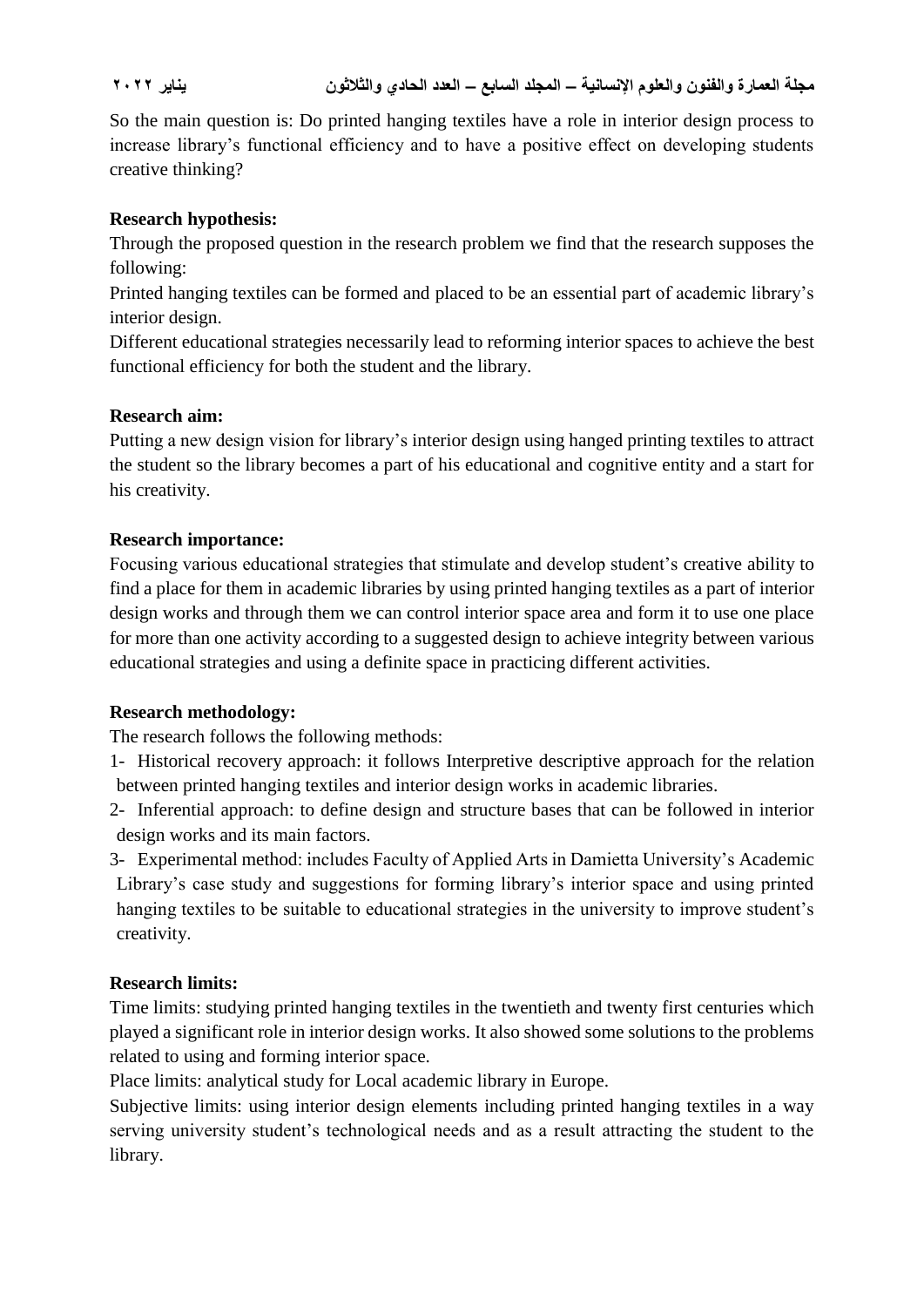So the main question is: Do printed hanging textiles have a role in interior design process to increase library's functional efficiency and to have a positive effect on developing students creative thinking?

#### **Research hypothesis:**

Through the proposed question in the research problem we find that the research supposes the following:

Printed hanging textiles can be formed and placed to be an essential part of academic library's interior design.

Different educational strategies necessarily lead to reforming interior spaces to achieve the best functional efficiency for both the student and the library.

#### **Research aim:**

Putting a new design vision for library's interior design using hanged printing textiles to attract the student so the library becomes a part of his educational and cognitive entity and a start for his creativity.

#### **Research importance:**

Focusing various educational strategies that stimulate and develop student's creative ability to find a place for them in academic libraries by using printed hanging textiles as a part of interior design works and through them we can control interior space area and form it to use one place for more than one activity according to a suggested design to achieve integrity between various educational strategies and using a definite space in practicing different activities.

#### **Research methodology:**

The research follows the following methods:

- 1- Historical recovery approach: it follows Interpretive descriptive approach for the relation between printed hanging textiles and interior design works in academic libraries.
- 2- Inferential approach: to define design and structure bases that can be followed in interior design works and its main factors.
- 3- Experimental method: includes Faculty of Applied Arts in Damietta University's Academic Library's case study and suggestions for forming library's interior space and using printed hanging textiles to be suitable to educational strategies in the university to improve student's creativity.

#### **Research limits:**

Time limits: studying printed hanging textiles in the twentieth and twenty first centuries which played a significant role in interior design works. It also showed some solutions to the problems related to using and forming interior space.

Place limits: analytical study for Local academic library in Europe.

Subjective limits: using interior design elements including printed hanging textiles in a way serving university student's technological needs and as a result attracting the student to the library.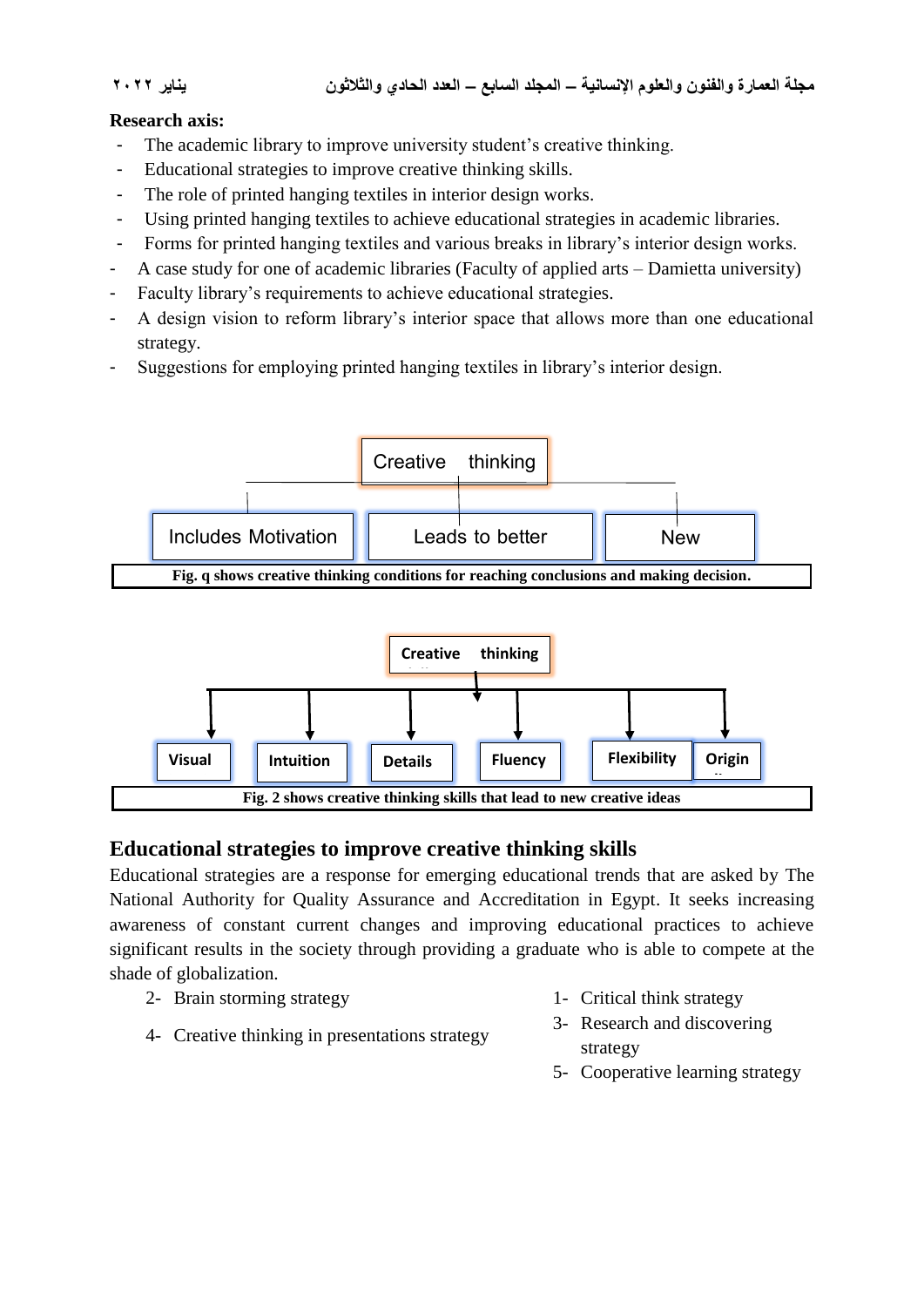### **Research axis:**

- The academic library to improve university student's creative thinking.
- Educational strategies to improve creative thinking skills.
- The role of printed hanging textiles in interior design works.
- Using printed hanging textiles to achieve educational strategies in academic libraries.
- Forms for printed hanging textiles and various breaks in library's interior design works.
- A case study for one of academic libraries (Faculty of applied arts Damietta university)
- Faculty library's requirements to achieve educational strategies.
- A design vision to reform library's interior space that allows more than one educational strategy.
- Suggestions for employing printed hanging textiles in library's interior design.





## **Educational strategies to improve creative thinking skills**

Educational strategies are a response for emerging educational trends that are asked by The National Authority for Quality Assurance and Accreditation in Egypt. It seeks increasing awareness of constant current changes and improving educational practices to achieve significant results in the society through providing a graduate who is able to compete at the shade of globalization.

- 2- Brain storming strategy 1- Critical think strategy
- 4- Creative thinking in presentations strategy
- 
- 3- Research and discovering strategy
- 5- Cooperative learning strategy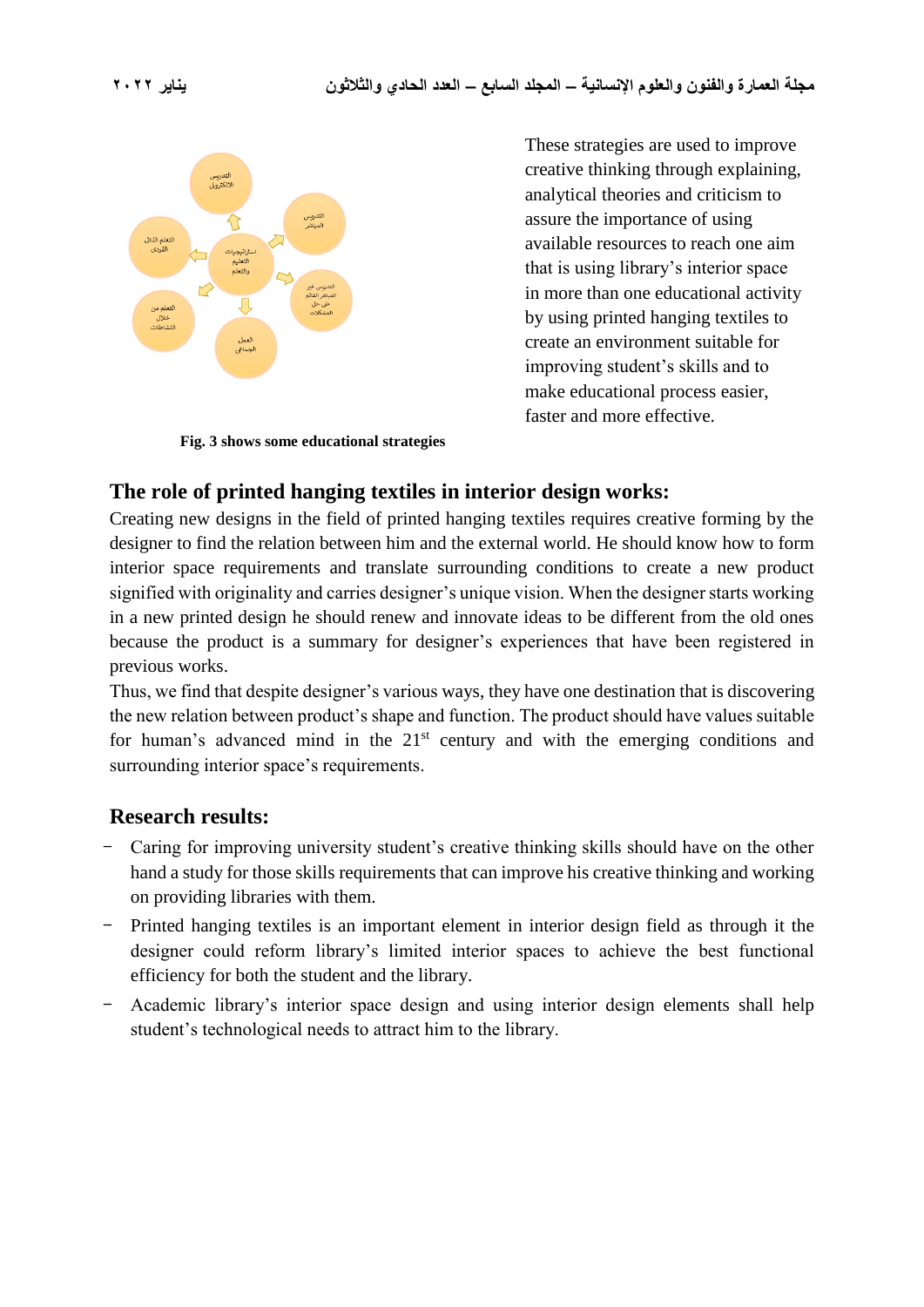

**Fig. 3 shows some educational strategies**

These strategies are used to improve creative thinking through explaining, analytical theories and criticism to assure the importance of using available resources to reach one aim that is using library's interior space in more than one educational activity by using printed hanging textiles to create an environment suitable for improving student's skills and to make educational process easier, faster and more effective.

## **The role of printed hanging textiles in interior design works:**

Creating new designs in the field of printed hanging textiles requires creative forming by the designer to find the relation between him and the external world. He should know how to form interior space requirements and translate surrounding conditions to create a new product signified with originality and carries designer's unique vision. When the designer starts working in a new printed design he should renew and innovate ideas to be different from the old ones because the product is a summary for designer's experiences that have been registered in previous works.

Thus, we find that despite designer's various ways, they have one destination that is discovering the new relation between product's shape and function. The product should have values suitable for human's advanced mind in the  $21<sup>st</sup>$  century and with the emerging conditions and surrounding interior space's requirements.

## **Research results:**

- **-** Caring for improving university student's creative thinking skills should have on the other hand a study for those skills requirements that can improve his creative thinking and working on providing libraries with them.
- **-** Printed hanging textiles is an important element in interior design field as through it the designer could reform library's limited interior spaces to achieve the best functional efficiency for both the student and the library.
- **-** Academic library's interior space design and using interior design elements shall help student's technological needs to attract him to the library.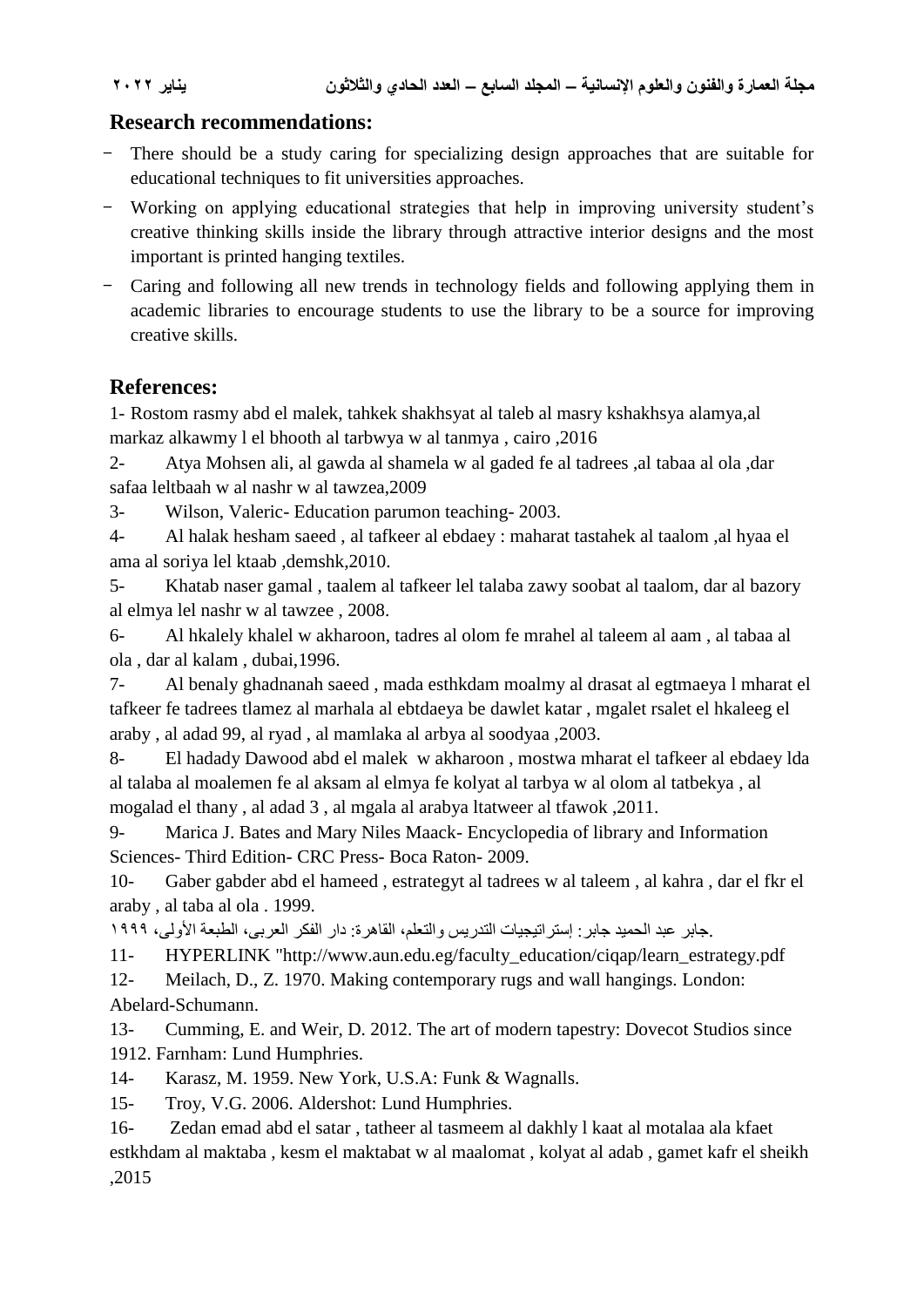## **Research recommendations:**

- **-** There should be a study caring for specializing design approaches that are suitable for educational techniques to fit universities approaches.
- **-** Working on applying educational strategies that help in improving university student's creative thinking skills inside the library through attractive interior designs and the most important is printed hanging textiles.
- **-** Caring and following all new trends in technology fields and following applying them in academic libraries to encourage students to use the library to be a source for improving creative skills.

## **References:**

1- Rostom rasmy abd el malek, tahkek shakhsyat al taleb al masry kshakhsya alamya,al markaz alkawmy l el bhooth al tarbwya w al tanmya , cairo ,2016

2- Atya Mohsen ali, al gawda al shamela w al gaded fe al tadrees ,al tabaa al ola ,dar safaa leltbaah w al nashr w al tawzea,2009

3- Wilson, Valeric- Education parumon teaching- 2003.

4- Al halak hesham saeed , al tafkeer al ebdaey : maharat tastahek al taalom ,al hyaa el ama al soriya lel ktaab ,demshk,2010.

5- Khatab naser gamal , taalem al tafkeer lel talaba zawy soobat al taalom, dar al bazory al elmya lel nashr w al tawzee , 2008.

6- Al hkalely khalel w akharoon, tadres al olom fe mrahel al taleem al aam , al tabaa al ola , dar al kalam , dubai,1996.

7- Al benaly ghadnanah saeed , mada esthkdam moalmy al drasat al egtmaeya l mharat el tafkeer fe tadrees tlamez al marhala al ebtdaeya be dawlet katar , mgalet rsalet el hkaleeg el araby , al adad 99, al ryad , al mamlaka al arbya al soodyaa ,2003.

8- El hadady Dawood abd el malek w akharoon , mostwa mharat el tafkeer al ebdaey lda al talaba al moalemen fe al aksam al elmya fe kolyat al tarbya w al olom al tatbekya , al mogalad el thany , al adad 3 , al mgala al arabya ltatweer al tfawok ,2011.

9- Marica J. Bates and Mary Niles Maack- Encyclopedia of library and Information Sciences- Third Edition- CRC Press- Boca Raton- 2009.

10- Gaber gabder abd el hameed , estrategyt al tadrees w al taleem , al kahra , dar el fkr el araby , al taba al ola . 1999.

.جابر عبد الحميد جابر: إستراتيجيات التدريس والتعلم، القاهرة: دار الفكر العربى، الطبعة األولى، 1999

11- HYPERLINK "http://www.aun.edu.eg/faculty\_education/ciqap/learn\_estrategy.pdf

12- Meilach, D., Z. 1970. Making contemporary rugs and wall hangings. London: Abelard-Schumann.

13- Cumming, E. and Weir, D. 2012. The art of modern tapestry: Dovecot Studios since 1912. Farnham: Lund Humphries.

14- Karasz, M. 1959. New York, U.S.A: Funk & Wagnalls.

15- Troy, V.G. 2006. Aldershot: Lund Humphries.

16- Zedan emad abd el satar , tatheer al tasmeem al dakhly l kaat al motalaa ala kfaet estkhdam al maktaba , kesm el maktabat w al maalomat , kolyat al adab , gamet kafr el sheikh ,2015